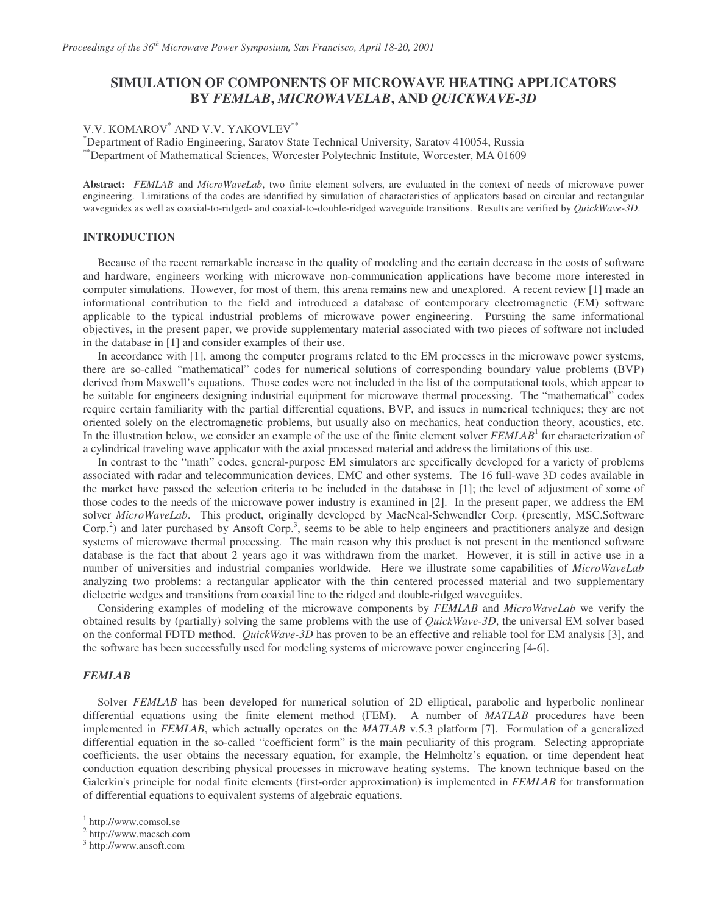# **SIMULATION OF COMPONENTS OF MICROWAVE HEATING APPLICATORS BY** *FEMLAB***,** *MICROWAVELAB***, AND** *QUICKWAVE-3D*

# V.V. KOMAROV<sup>\*</sup> AND V.V. YAKOVLEV<sup>\*\*</sup>

\*Department of Radio Engineering, Saratov State Technical University, Saratov 410054, Russia \*\*Department of Mathematical Sciences, Worcester Polytechnic Institute, Worcester, MA 01609

**Abstract:** *FEMLAB* and *MicroWaveLab*, two finite element solvers, are evaluated in the context of needs of microwave power engineering. Limitations of the codes are identified by simulation of characteristics of applicators based on circular and rectangular waveguides as well as coaxial-to-ridged- and coaxial-to-double-ridged waveguide transitions. Results are verified by *QuickWave-3D*.

## **INTRODUCTION**

Because of the recent remarkable increase in the quality of modeling and the certain decrease in the costs of software and hardware, engineers working with microwave non-communication applications have become more interested in computer simulations. However, for most of them, this arena remains new and unexplored. A recent review [1] made an informational contribution to the field and introduced a database of contemporary electromagnetic (EM) software applicable to the typical industrial problems of microwave power engineering. Pursuing the same informational objectives, in the present paper, we provide supplementary material associated with two pieces of software not included in the database in [1] and consider examples of their use.

In accordance with [1], among the computer programs related to the EM processes in the microwave power systems, there are so-called "mathematical" codes for numerical solutions of corresponding boundary value problems (BVP) derived from Maxwell's equations. Those codes were not included in the list of the computational tools, which appear to be suitable for engineers designing industrial equipment for microwave thermal processing. The "mathematical" codes require certain familiarity with the partial differential equations, BVP, and issues in numerical techniques; they are not oriented solely on the electromagnetic problems, but usually also on mechanics, heat conduction theory, acoustics, etc. In the illustration below, we consider an example of the use of the finite element solver *FEMLAB*<sup>1</sup> for characterization of a cylindrical traveling wave applicator with the axial processed material and address the limitations of this use.

In contrast to the "math" codes, general-purpose EM simulators are specifically developed for a variety of problems associated with radar and telecommunication devices, EMC and other systems. The 16 full-wave 3D codes available in the market have passed the selection criteria to be included in the database in [1]; the level of adjustment of some of those codes to the needs of the microwave power industry is examined in [2]. In the present paper, we address the EM solver *MicroWaveLab*. This product, originally developed by MacNeal-Schwendler Corp. (presently, MSC.Software Corp.<sup>2</sup>) and later purchased by Ansoft Corp.<sup>3</sup>, seems to be able to help engineers and practitioners analyze and design systems of microwave thermal processing. The main reason why this product is not present in the mentioned software database is the fact that about 2 years ago it was withdrawn from the market. However, it is still in active use in a number of universities and industrial companies worldwide. Here we illustrate some capabilities of *MicroWaveLab* analyzing two problems: a rectangular applicator with the thin centered processed material and two supplementary dielectric wedges and transitions from coaxial line to the ridged and double-ridged waveguides.

Considering examples of modeling of the microwave components by *FEMLAB* and *MicroWaveLab* we verify the obtained results by (partially) solving the same problems with the use of *QuickWave-3D*, the universal EM solver based on the conformal FDTD method. *QuickWave-3D* has proven to be an effective and reliable tool for EM analysis [3], and the software has been successfully used for modeling systems of microwave power engineering [4-6].

#### *FEMLAB*

Solver *FEMLAB* has been developed for numerical solution of 2D elliptical, parabolic and hyperbolic nonlinear differential equations using the finite element method (FEM). A number of *MATLAB* procedures have been implemented in *FEMLAB*, which actually operates on the *MATLAB* v.5.3 platform [7]. Formulation of a generalized differential equation in the so-called "coefficient form" is the main peculiarity of this program. Selecting appropriate coefficients, the user obtains the necessary equation, for example, the Helmholtz's equation, or time dependent heat conduction equation describing physical processes in microwave heating systems. The known technique based on the Galerkin's principle for nodal finite elements (first-order approximation) is implemented in *FEMLAB* for transformation of differential equations to equivalent systems of algebraic equations.

<sup>1</sup> http://www.comsol.se

<sup>2</sup> http://www.macsch.com

<sup>3</sup> http://www.ansoft.com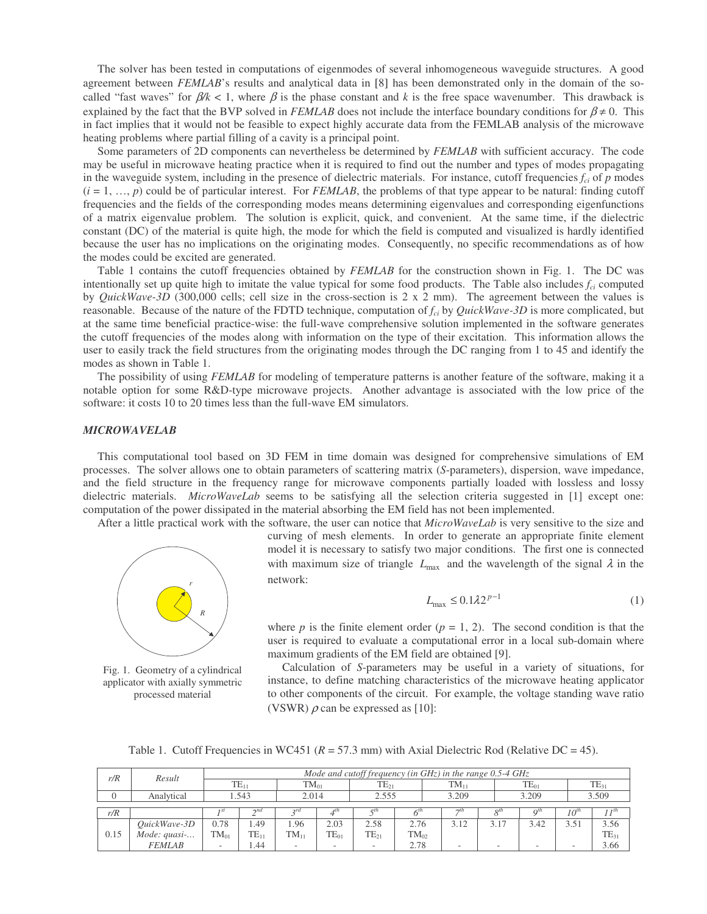The solver has been tested in computations of eigenmodes of several inhomogeneous waveguide structures. A good agreement between *FEMLAB*'s results and analytical data in [8] has been demonstrated only in the domain of the socalled "fast waves" for  $\beta / k < 1$ , where  $\beta$  is the phase constant and k is the free space wavenumber. This drawback is explained by the fact that the BVP solved in *FEMLAB* does not include the interface boundary conditions for  $\beta \neq 0$ . This in fact implies that it would not be feasible to expect highly accurate data from the FEMLAB analysis of the microwave heating problems where partial filling of a cavity is a principal point.

Some parameters of 2D components can nevertheless be determined by *FEMLAB* with sufficient accuracy. The code may be useful in microwave heating practice when it is required to find out the number and types of modes propagating in the waveguide system, including in the presence of dielectric materials. For instance, cutoff frequencies  $f_{ci}$  of  $p$  modes  $(i = 1, ..., p)$  could be of particular interest. For *FEMLAB*, the problems of that type appear to be natural: finding cutoff frequencies and the fields of the corresponding modes means determining eigenvalues and corresponding eigenfunctions of a matrix eigenvalue problem. The solution is explicit, quick, and convenient. At the same time, if the dielectric constant (DC) of the material is quite high, the mode for which the field is computed and visualized is hardly identified because the user has no implications on the originating modes. Consequently, no specific recommendations as of how the modes could be excited are generated.

Table 1 contains the cutoff frequencies obtained by *FEMLAB* for the construction shown in Fig. 1. The DC was intentionally set up quite high to imitate the value typical for some food products. The Table also includes *fci* computed by *QuickWave-3D* (300,000 cells; cell size in the cross-section is 2 x 2 mm). The agreement between the values is reasonable. Because of the nature of the FDTD technique, computation of *fci* by *QuickWave-3D* is more complicated, but at the same time beneficial practice-wise: the full-wave comprehensive solution implemented in the software generates the cutoff frequencies of the modes along with information on the type of their excitation. This information allows the user to easily track the field structures from the originating modes through the DC ranging from 1 to 45 and identify the modes as shown in Table 1.

The possibility of using *FEMLAB* for modeling of temperature patterns is another feature of the software, making it a notable option for some R&D-type microwave projects. Another advantage is associated with the low price of the software: it costs 10 to 20 times less than the full-wave EM simulators.

#### *MICROWAVELAB*

This computational tool based on 3D FEM in time domain was designed for comprehensive simulations of EM processes. The solver allows one to obtain parameters of scattering matrix (*S*-parameters), dispersion, wave impedance, and the field structure in the frequency range for microwave components partially loaded with lossless and lossy dielectric materials. *MicroWaveLab* seems to be satisfying all the selection criteria suggested in [1] except one: computation of the power dissipated in the material absorbing the EM field has not been implemented.

After a little practical work with the software, the user can notice that *MicroWaveLab* is very sensitive to the size and



Fig. 1. Geometry of a cylindrical applicator with axially symmetric processed material

curving of mesh elements. In order to generate an appropriate finite element model it is necessary to satisfy two major conditions. The first one is connected with maximum size of triangle  $L_{\text{max}}$  and the wavelength of the signal  $\lambda$  in the network:

$$
L_{\text{max}} \le 0.1 \lambda 2^{p-1} \tag{1}
$$

where *p* is the finite element order  $(p = 1, 2)$ . The second condition is that the user is required to evaluate a computational error in a local sub-domain where maximum gradients of the EM field are obtained [9].

Calculation of *S*-parameters may be useful in a variety of situations, for instance, to define matching characteristics of the microwave heating applicator to other components of the circuit. For example, the voltage standing wave ratio (VSWR)  $\rho$  can be expressed as [10]:

Table 1. Cutoff Frequencies in WC451 ( $R = 57.3$  mm) with Axial Dielectric Rod (Relative DC = 45).

| r/R  | Result        | Mode and cutoff frequency (in $GHz$ ) in the range 0.5-4 $GHz$ |             |           |           |           |           |           |      |           |                 |           |  |
|------|---------------|----------------------------------------------------------------|-------------|-----------|-----------|-----------|-----------|-----------|------|-----------|-----------------|-----------|--|
|      |               | $TE_{11}$                                                      |             | $TM_{01}$ |           | $TE_{21}$ |           | $TM_{11}$ |      | $TE_{01}$ |                 | $TE_{31}$ |  |
| 0    | Analytical    | 1.543                                                          |             | 2.014     |           | 2.555     |           | 3.209     |      | 3.209     |                 | 3.509     |  |
|      |               |                                                                | $\gamma$ na |           |           |           |           | $\tau t$  |      |           |                 |           |  |
| r/R  |               |                                                                |             |           |           |           |           |           | ОIJ  | ∩™        | 10 <sup>u</sup> | 1 J II    |  |
|      | QuickWave-3D  | 0.78                                                           | .49         | .96       | 2.03      | 2.58      | 2.76      | 3.12      | 3.17 | 3.42      | 3.51            | 3.56      |  |
| 0.15 | Mode: quasi   | $TM_{01}$                                                      | $TE_{11}$   | $TM_{11}$ | $TE_{01}$ | $TE_{21}$ | $TM_{02}$ |           |      |           |                 | $TE_{31}$ |  |
|      | <b>FEMLAB</b> |                                                                | 44.ء        |           | $\sim$    |           | 2.78      |           |      |           |                 | 3.66      |  |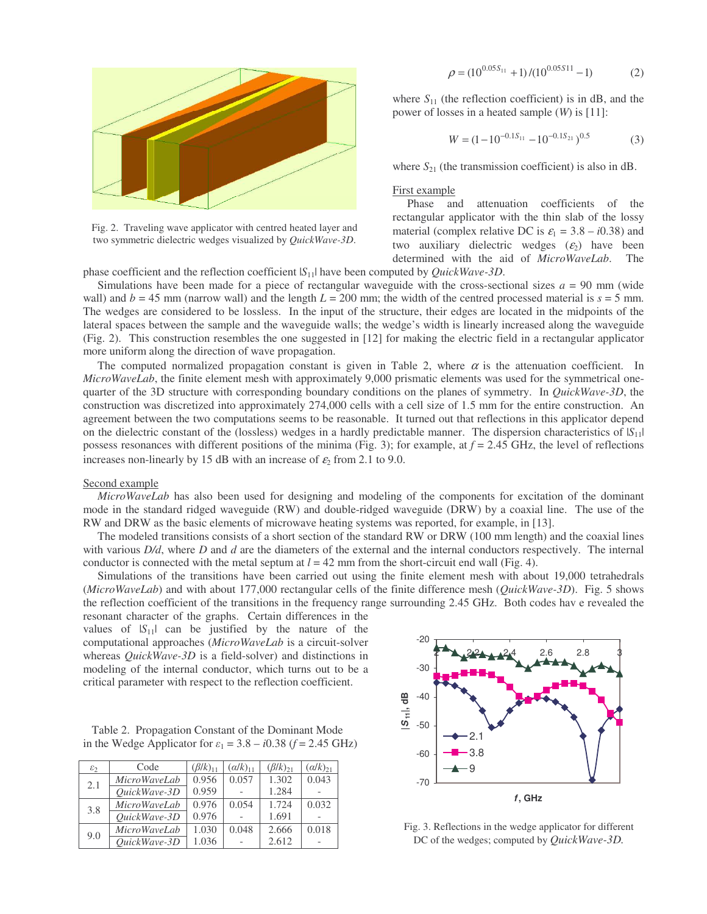

Fig. 2. Traveling wave applicator with centred heated layer and two symmetric dielectric wedges visualized by *QuickWave-3D*.

$$
\rho = (10^{0.05S_{11}} + 1)/(10^{0.05S_{11}} - 1)
$$
 (2)

where  $S_{11}$  (the reflection coefficient) is in dB, and the power of losses in a heated sample (*W*) is [11]:

$$
W = (1 - 10^{-0.1S_{11}} - 10^{-0.1S_{21}})^{0.5}
$$
 (3)

where  $S_{21}$  (the transmission coefficient) is also in dB.

#### First example

Phase and attenuation coefficients of the rectangular applicator with the thin slab of the lossy material (complex relative DC is  $\varepsilon_1 = 3.8 - i0.38$ ) and two auxiliary dielectric wedges  $(\varepsilon_2)$  have been determined with the aid of *MicroWaveLab*. The

phase coefficient and the reflection coefficient |*S*11| have been computed by *QuickWave-3D*.

Simulations have been made for a piece of rectangular waveguide with the cross-sectional sizes  $a = 90$  mm (wide wall) and  $b = 45$  mm (narrow wall) and the length  $L = 200$  mm; the width of the centred processed material is  $s = 5$  mm. The wedges are considered to be lossless. In the input of the structure, their edges are located in the midpoints of the lateral spaces between the sample and the waveguide walls; the wedge's width is linearly increased along the waveguide (Fig. 2). This construction resembles the one suggested in [12] for making the electric field in a rectangular applicator more uniform along the direction of wave propagation.

The computed normalized propagation constant is given in Table 2, where  $\alpha$  is the attenuation coefficient. In *MicroWaveLab*, the finite element mesh with approximately 9,000 prismatic elements was used for the symmetrical onequarter of the 3D structure with corresponding boundary conditions on the planes of symmetry. In *QuickWave-3D*, the construction was discretized into approximately 274,000 cells with a cell size of 1.5 mm for the entire construction. An agreement between the two computations seems to be reasonable. It turned out that reflections in this applicator depend on the dielectric constant of the (lossless) wedges in a hardly predictable manner. The dispersion characteristics of  $|S_{11}|$ possess resonances with different positions of the minima (Fig. 3); for example, at *f* = 2.45 GHz, the level of reflections increases non-linearly by 15 dB with an increase of  $\varepsilon_2$  from 2.1 to 9.0.

#### Second example

*MicroWaveLab* has also been used for designing and modeling of the components for excitation of the dominant mode in the standard ridged waveguide (RW) and double-ridged waveguide (DRW) by a coaxial line. The use of the RW and DRW as the basic elements of microwave heating systems was reported, for example, in [13].

The modeled transitions consists of a short section of the standard RW or DRW (100 mm length) and the coaxial lines with various *D/d*, where *D* and *d* are the diameters of the external and the internal conductors respectively. The internal conductor is connected with the metal septum at  $l = 42$  mm from the short-circuit end wall (Fig. 4).

Simulations of the transitions have been carried out using the finite element mesh with about 19,000 tetrahedrals (*MicroWaveLab*) and with about 177,000 rectangular cells of the finite difference mesh (*QuickWave-3D*). Fig. 5 shows the reflection coefficient of the transitions in the frequency range surrounding 2.45 GHz. Both codes hav e revealed the

resonant character of the graphs. Certain differences in the values of  $|S_{11}|$  can be justified by the nature of the computational approaches (*MicroWaveLab* is a circuit-solver whereas *QuickWave-3D* is a field-solver) and distinctions in modeling of the internal conductor, which turns out to be a critical parameter with respect to the reflection coefficient.

Table 2. Propagation Constant of the Dominant Mode in the Wedge Applicator for  $\varepsilon_1 = 3.8 - i0.38$  ( $f = 2.45$  GHz)

| $\varepsilon_2$ | Code                | $(\beta/k)_{11}$ | $(\alpha/k)_{11}$ | $(\beta/k)_{21}$ | $(\alpha/k)_{21}$ |
|-----------------|---------------------|------------------|-------------------|------------------|-------------------|
| 2.1             | <b>MicroWaveLab</b> | 0.956            | 0.057             | 1.302            | 0.043             |
|                 | OuickWave-3D        | 0.959            |                   | 1.284            |                   |
| 3.8             | <b>MicroWaveLab</b> | 0.976            | 0.054             | 1.724            | 0.032             |
|                 | OuickWave-3D        | 0.976            |                   | 1.691            |                   |
| 9.0             | MicroWaveLab        | 1.030            | 0.048             | 2.666            | 0.018             |
|                 | OuickWave-3D        | 1.036            |                   | 2.612            |                   |



Fig. 3. Reflections in the wedge applicator for different DC of the wedges; computed by *QuickWave-3D.*